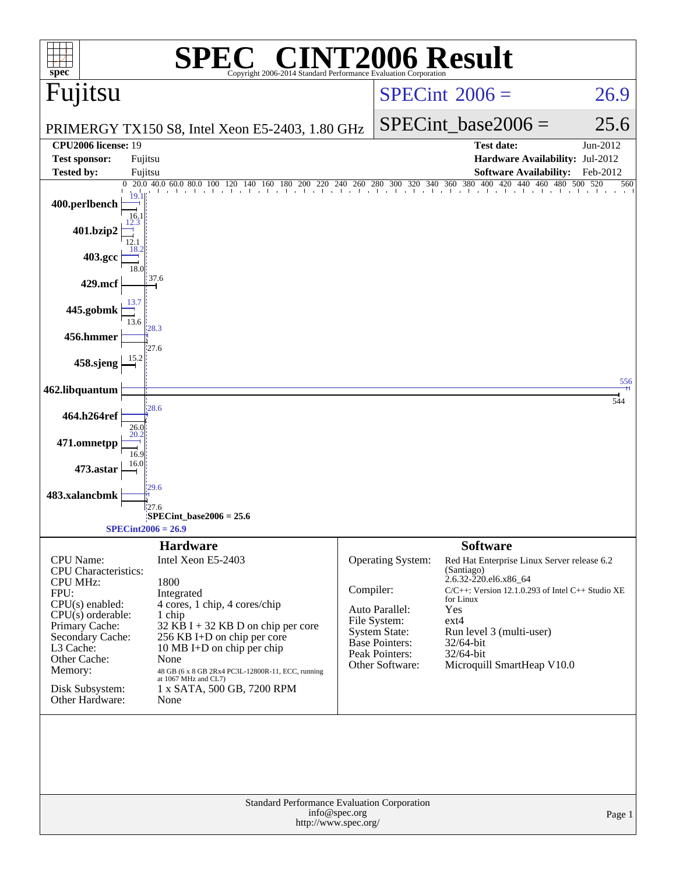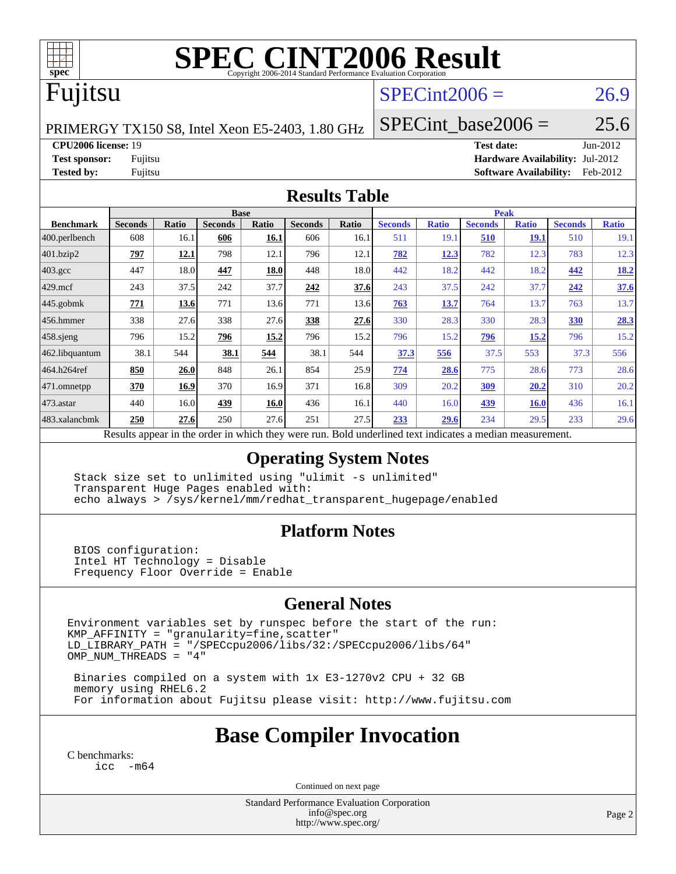

# **[SPEC CINT2006 Result](http://www.spec.org/auto/cpu2006/Docs/result-fields.html#SPECCINT2006Result)**

# Fujitsu

### $SPECint2006 = 26.9$  $SPECint2006 = 26.9$

PRIMERGY TX150 S8, Intel Xeon E5-2403, 1.80 GHz

SPECint base2006 =  $25.6$ 

**[CPU2006 license:](http://www.spec.org/auto/cpu2006/Docs/result-fields.html#CPU2006license)** 19 **[Test date:](http://www.spec.org/auto/cpu2006/Docs/result-fields.html#Testdate)** Jun-2012 **[Test sponsor:](http://www.spec.org/auto/cpu2006/Docs/result-fields.html#Testsponsor)** Fujitsu **[Hardware Availability:](http://www.spec.org/auto/cpu2006/Docs/result-fields.html#HardwareAvailability)** Jul-2012 **[Tested by:](http://www.spec.org/auto/cpu2006/Docs/result-fields.html#Testedby)** Fujitsu **[Software Availability:](http://www.spec.org/auto/cpu2006/Docs/result-fields.html#SoftwareAvailability)** Feb-2012

#### **[Results Table](http://www.spec.org/auto/cpu2006/Docs/result-fields.html#ResultsTable)**

|                   | <b>Base</b>                                                                                              |             |                |             |                |       | <b>Peak</b>    |              |                |              |                |              |
|-------------------|----------------------------------------------------------------------------------------------------------|-------------|----------------|-------------|----------------|-------|----------------|--------------|----------------|--------------|----------------|--------------|
| <b>Benchmark</b>  | <b>Seconds</b>                                                                                           | Ratio       | <b>Seconds</b> | Ratio       | <b>Seconds</b> | Ratio | <b>Seconds</b> | <b>Ratio</b> | <b>Seconds</b> | <b>Ratio</b> | <b>Seconds</b> | <b>Ratio</b> |
| $ 400$ .perlbench | 608                                                                                                      | 16.1        | 606            | 16.1        | 606            | 16.1  | 511            | 19.1         | 510            | <b>19.1</b>  | 510            | 19.1         |
| 401.bzip2         | 797                                                                                                      | <u>12.1</u> | 798            | 12.1        | 796            | 12.1  | 782            | <u>12.3</u>  | 782            | 12.3         | 783            | 12.3         |
| $403.\text{gcc}$  | 447                                                                                                      | 18.0        | 447            | 18.0        | 448            | 18.0  | 442            | 18.2         | 442            | 18.2         | 442            | <u>18.2</u>  |
| $429$ mcf         | 243                                                                                                      | 37.5        | 242            | 37.7        | 242            | 37.6  | 243            | 37.5         | 242            | 37.7         | 242            | 37.6         |
| $445$ .gobmk      | 771                                                                                                      | 13.6        | 771            | 13.6        | 771            | 13.6  | 763            | 13.7         | 764            | 13.7         | 763            | 13.7         |
| $456.$ hmmer      | 338                                                                                                      | 27.6        | 338            | 27.6        | 338            | 27.6  | 330            | 28.3         | 330            | 28.3         | <b>330</b>     | 28.3         |
| $458$ .sjeng      | 796                                                                                                      | 15.2        | 796            | 15.2        | 796            | 15.2  | 796            | 15.2         | 796            | 15.2         | 796            | 15.2         |
| 462.libquantum    | 38.1                                                                                                     | 544         | 38.1           | 544         | 38.1           | 544   | 37.3           | 556          | 37.5           | 553          | 37.3           | 556          |
| 464.h264ref       | 850                                                                                                      | 26.0        | 848            | 26.1        | 854            | 25.9  | 774            | 28.6         | 775            | 28.6         | 773            | 28.6         |
| 471.omnetpp       | 370                                                                                                      | 16.9        | 370            | 16.9        | 371            | 16.8  | 309            | 20.2         | 309            | 20.2         | 310            | 20.2         |
| $ 473$ . astar    | 440                                                                                                      | 16.0        | 439            | <b>16.0</b> | 436            | 16.1  | 440            | 16.0         | <u>439</u>     | <b>16.0</b>  | 436            | 16.1         |
| 483.xalancbmk     | 250                                                                                                      | 27.6        | 250            | 27.6        | 251            | 27.5  | 233            | 29.6         | 234            | 29.5         | 233            | 29.6         |
|                   | Results appear in the order in which they were run. Bold underlined text indicates a median measurement. |             |                |             |                |       |                |              |                |              |                |              |

### **[Operating System Notes](http://www.spec.org/auto/cpu2006/Docs/result-fields.html#OperatingSystemNotes)**

 Stack size set to unlimited using "ulimit -s unlimited" Transparent Huge Pages enabled with: echo always > /sys/kernel/mm/redhat\_transparent\_hugepage/enabled

### **[Platform Notes](http://www.spec.org/auto/cpu2006/Docs/result-fields.html#PlatformNotes)**

 BIOS configuration: Intel HT Technology = Disable Frequency Floor Override = Enable

### **[General Notes](http://www.spec.org/auto/cpu2006/Docs/result-fields.html#GeneralNotes)**

Environment variables set by runspec before the start of the run:  $KMP_A$ FFINITY = "granularity=fine, scatter" LD\_LIBRARY\_PATH = "/SPECcpu2006/libs/32:/SPECcpu2006/libs/64" OMP\_NUM\_THREADS = "4"

 Binaries compiled on a system with 1x E3-1270v2 CPU + 32 GB memory using RHEL6.2 For information about Fujitsu please visit: <http://www.fujitsu.com>

## **[Base Compiler Invocation](http://www.spec.org/auto/cpu2006/Docs/result-fields.html#BaseCompilerInvocation)**

[C benchmarks](http://www.spec.org/auto/cpu2006/Docs/result-fields.html#Cbenchmarks): [icc -m64](http://www.spec.org/cpu2006/results/res2012q3/cpu2006-20120810-24117.flags.html#user_CCbase_intel_icc_64bit_f346026e86af2a669e726fe758c88044)

Continued on next page

Standard Performance Evaluation Corporation [info@spec.org](mailto:info@spec.org) <http://www.spec.org/>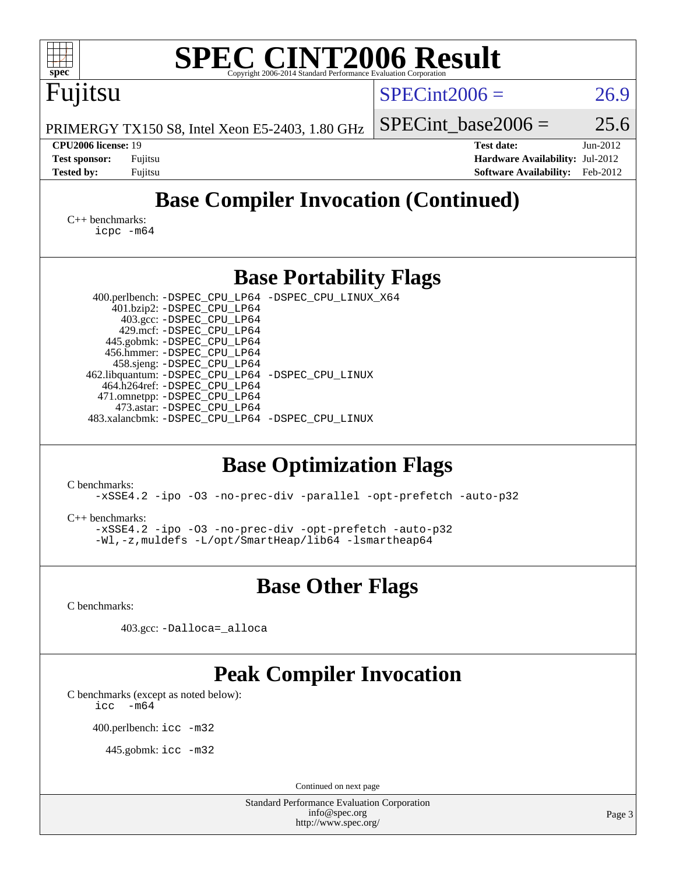| $spec^*$                                                                                                                                                                                                                                                                                                                                                                                                                                                                                                                                                                                                                                                                                                 | <b>SPEC CINT2006 Result</b><br>Copyright 2006-2014 Standard Performance Evaluation Corporation |                                                                                       |                      |  |  |  |
|----------------------------------------------------------------------------------------------------------------------------------------------------------------------------------------------------------------------------------------------------------------------------------------------------------------------------------------------------------------------------------------------------------------------------------------------------------------------------------------------------------------------------------------------------------------------------------------------------------------------------------------------------------------------------------------------------------|------------------------------------------------------------------------------------------------|---------------------------------------------------------------------------------------|----------------------|--|--|--|
| Fujitsu                                                                                                                                                                                                                                                                                                                                                                                                                                                                                                                                                                                                                                                                                                  |                                                                                                | $SPECint2006 =$                                                                       | 26.9                 |  |  |  |
|                                                                                                                                                                                                                                                                                                                                                                                                                                                                                                                                                                                                                                                                                                          | PRIMERGY TX150 S8, Intel Xeon E5-2403, 1.80 GHz                                                | $SPECint$ base2006 =                                                                  | 25.6                 |  |  |  |
| CPU2006 license: 19<br><b>Test sponsor:</b><br>Fujitsu<br><b>Tested by:</b><br>Fujitsu                                                                                                                                                                                                                                                                                                                                                                                                                                                                                                                                                                                                                   |                                                                                                | <b>Test date:</b><br>Hardware Availability: Jul-2012<br><b>Software Availability:</b> | Jun-2012<br>Feb-2012 |  |  |  |
|                                                                                                                                                                                                                                                                                                                                                                                                                                                                                                                                                                                                                                                                                                          | <b>Base Compiler Invocation (Continued)</b>                                                    |                                                                                       |                      |  |  |  |
| $C_{++}$ benchmarks:<br>$icpc$ $-m64$                                                                                                                                                                                                                                                                                                                                                                                                                                                                                                                                                                                                                                                                    |                                                                                                |                                                                                       |                      |  |  |  |
|                                                                                                                                                                                                                                                                                                                                                                                                                                                                                                                                                                                                                                                                                                          | <b>Base Portability Flags</b>                                                                  |                                                                                       |                      |  |  |  |
| 400.perlbench: -DSPEC_CPU_LP64 -DSPEC_CPU_LINUX_X64<br>401.bzip2: -DSPEC_CPU_LP64<br>403.gcc: -DSPEC_CPU_LP64<br>429.mcf: -DSPEC_CPU_LP64<br>445.gobmk: -DSPEC_CPU_LP64<br>456.hmmer: -DSPEC_CPU_LP64<br>458.sjeng: -DSPEC_CPU_LP64<br>462.libquantum: - DSPEC_CPU_LP64 - DSPEC_CPU_LINUX<br>464.h264ref: -DSPEC_CPU_LP64<br>471.omnetpp: -DSPEC_CPU_LP64<br>473.astar: -DSPEC_CPU_LP64<br>483.xalancbmk: -DSPEC_CPU_LP64 -DSPEC_CPU_LINUX<br><b>Base Optimization Flags</b><br>C benchmarks:<br>-xSSE4.2 -ipo -03 -no-prec-div -parallel -opt-prefetch -auto-p32<br>$C++$ benchmarks:<br>-xSSE4.2 -ipo -03 -no-prec-div -opt-prefetch -auto-p32<br>-Wl,-z, muldefs -L/opt/SmartHeap/lib64 -lsmartheap64 |                                                                                                |                                                                                       |                      |  |  |  |
|                                                                                                                                                                                                                                                                                                                                                                                                                                                                                                                                                                                                                                                                                                          | <b>Base Other Flags</b>                                                                        |                                                                                       |                      |  |  |  |
| C benchmarks:                                                                                                                                                                                                                                                                                                                                                                                                                                                                                                                                                                                                                                                                                            |                                                                                                |                                                                                       |                      |  |  |  |
|                                                                                                                                                                                                                                                                                                                                                                                                                                                                                                                                                                                                                                                                                                          | 403.gcc: -Dalloca=_alloca                                                                      |                                                                                       |                      |  |  |  |
| C benchmarks (except as noted below):<br>$-m64$<br>icc<br>400.perlbench: icc -m32<br>445.gobmk: icc -m32                                                                                                                                                                                                                                                                                                                                                                                                                                                                                                                                                                                                 | <b>Peak Compiler Invocation</b>                                                                |                                                                                       |                      |  |  |  |
|                                                                                                                                                                                                                                                                                                                                                                                                                                                                                                                                                                                                                                                                                                          | Continued on next page<br><b>Standard Performance Evaluation Corporation</b>                   |                                                                                       |                      |  |  |  |
|                                                                                                                                                                                                                                                                                                                                                                                                                                                                                                                                                                                                                                                                                                          | info@spec.org<br>http://www.spec.org/                                                          |                                                                                       | Page 3               |  |  |  |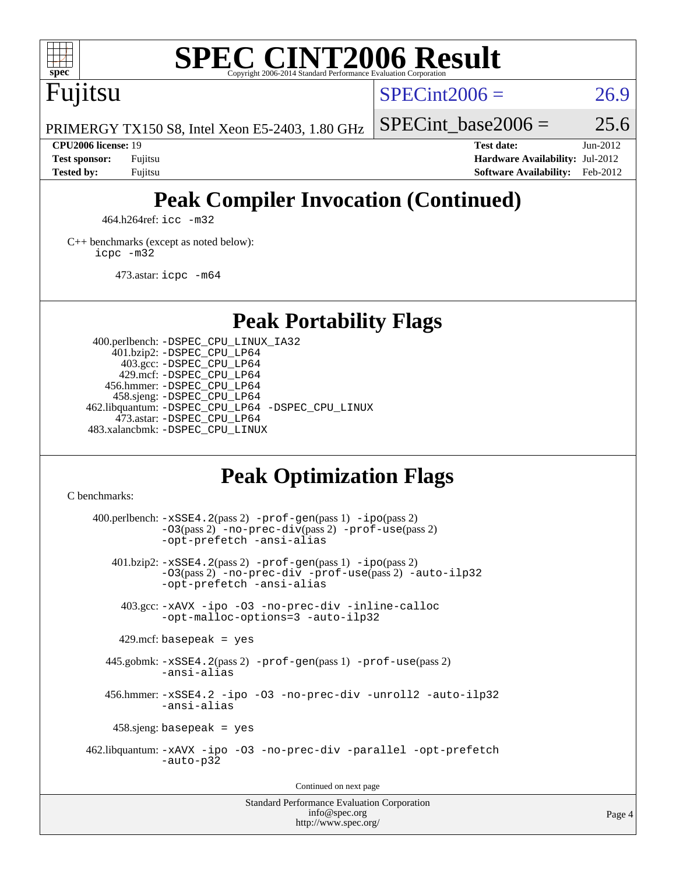

# **[SPEC CINT2006 Result](http://www.spec.org/auto/cpu2006/Docs/result-fields.html#SPECCINT2006Result)**

Fujitsu

 $SPECint2006 = 26.9$  $SPECint2006 = 26.9$ 

PRIMERGY TX150 S8, Intel Xeon E5-2403, 1.80 GHz

SPECint base2006 =  $25.6$ 

**[CPU2006 license:](http://www.spec.org/auto/cpu2006/Docs/result-fields.html#CPU2006license)** 19 **[Test date:](http://www.spec.org/auto/cpu2006/Docs/result-fields.html#Testdate)** Jun-2012 **[Test sponsor:](http://www.spec.org/auto/cpu2006/Docs/result-fields.html#Testsponsor)** Fujitsu **[Hardware Availability:](http://www.spec.org/auto/cpu2006/Docs/result-fields.html#HardwareAvailability)** Jul-2012 **[Tested by:](http://www.spec.org/auto/cpu2006/Docs/result-fields.html#Testedby)** Fujitsu **[Software Availability:](http://www.spec.org/auto/cpu2006/Docs/result-fields.html#SoftwareAvailability)** Feb-2012

# **[Peak Compiler Invocation \(Continued\)](http://www.spec.org/auto/cpu2006/Docs/result-fields.html#PeakCompilerInvocation)**

464.h264ref: [icc -m32](http://www.spec.org/cpu2006/results/res2012q3/cpu2006-20120810-24117.flags.html#user_peakCCLD464_h264ref_intel_icc_a6a621f8d50482236b970c6ac5f55f93)

[C++ benchmarks \(except as noted below\):](http://www.spec.org/auto/cpu2006/Docs/result-fields.html#CXXbenchmarksexceptasnotedbelow) [icpc -m32](http://www.spec.org/cpu2006/results/res2012q3/cpu2006-20120810-24117.flags.html#user_CXXpeak_intel_icpc_4e5a5ef1a53fd332b3c49e69c3330699)

473.astar: [icpc -m64](http://www.spec.org/cpu2006/results/res2012q3/cpu2006-20120810-24117.flags.html#user_peakCXXLD473_astar_intel_icpc_64bit_fc66a5337ce925472a5c54ad6a0de310)

**[Peak Portability Flags](http://www.spec.org/auto/cpu2006/Docs/result-fields.html#PeakPortabilityFlags)**

 400.perlbench: [-DSPEC\\_CPU\\_LINUX\\_IA32](http://www.spec.org/cpu2006/results/res2012q3/cpu2006-20120810-24117.flags.html#b400.perlbench_peakCPORTABILITY_DSPEC_CPU_LINUX_IA32) 401.bzip2: [-DSPEC\\_CPU\\_LP64](http://www.spec.org/cpu2006/results/res2012q3/cpu2006-20120810-24117.flags.html#suite_peakPORTABILITY401_bzip2_DSPEC_CPU_LP64) 403.gcc: [-DSPEC\\_CPU\\_LP64](http://www.spec.org/cpu2006/results/res2012q3/cpu2006-20120810-24117.flags.html#suite_peakPORTABILITY403_gcc_DSPEC_CPU_LP64) 429.mcf: [-DSPEC\\_CPU\\_LP64](http://www.spec.org/cpu2006/results/res2012q3/cpu2006-20120810-24117.flags.html#suite_peakPORTABILITY429_mcf_DSPEC_CPU_LP64) 456.hmmer: [-DSPEC\\_CPU\\_LP64](http://www.spec.org/cpu2006/results/res2012q3/cpu2006-20120810-24117.flags.html#suite_peakPORTABILITY456_hmmer_DSPEC_CPU_LP64) 458.sjeng: [-DSPEC\\_CPU\\_LP64](http://www.spec.org/cpu2006/results/res2012q3/cpu2006-20120810-24117.flags.html#suite_peakPORTABILITY458_sjeng_DSPEC_CPU_LP64) 462.libquantum: [-DSPEC\\_CPU\\_LP64](http://www.spec.org/cpu2006/results/res2012q3/cpu2006-20120810-24117.flags.html#suite_peakPORTABILITY462_libquantum_DSPEC_CPU_LP64) [-DSPEC\\_CPU\\_LINUX](http://www.spec.org/cpu2006/results/res2012q3/cpu2006-20120810-24117.flags.html#b462.libquantum_peakCPORTABILITY_DSPEC_CPU_LINUX) 473.astar: [-DSPEC\\_CPU\\_LP64](http://www.spec.org/cpu2006/results/res2012q3/cpu2006-20120810-24117.flags.html#suite_peakPORTABILITY473_astar_DSPEC_CPU_LP64) 483.xalancbmk: [-DSPEC\\_CPU\\_LINUX](http://www.spec.org/cpu2006/results/res2012q3/cpu2006-20120810-24117.flags.html#b483.xalancbmk_peakCXXPORTABILITY_DSPEC_CPU_LINUX)

# **[Peak Optimization Flags](http://www.spec.org/auto/cpu2006/Docs/result-fields.html#PeakOptimizationFlags)**

[C benchmarks](http://www.spec.org/auto/cpu2006/Docs/result-fields.html#Cbenchmarks):

 $400.$ perlbench:  $-xSSE4$ .  $2(pass 2)$  -prof-qen(pass 1) [-ipo](http://www.spec.org/cpu2006/results/res2012q3/cpu2006-20120810-24117.flags.html#user_peakPASS2_CFLAGSPASS2_LDCFLAGS400_perlbench_f-ipo)(pass 2) [-O3](http://www.spec.org/cpu2006/results/res2012q3/cpu2006-20120810-24117.flags.html#user_peakPASS2_CFLAGSPASS2_LDCFLAGS400_perlbench_f-O3)(pass 2) [-no-prec-div](http://www.spec.org/cpu2006/results/res2012q3/cpu2006-20120810-24117.flags.html#user_peakPASS2_CFLAGSPASS2_LDCFLAGS400_perlbench_f-no-prec-div)(pass 2) [-prof-use](http://www.spec.org/cpu2006/results/res2012q3/cpu2006-20120810-24117.flags.html#user_peakPASS2_CFLAGSPASS2_LDCFLAGS400_perlbench_prof_use_bccf7792157ff70d64e32fe3e1250b55)(pass 2) [-opt-prefetch](http://www.spec.org/cpu2006/results/res2012q3/cpu2006-20120810-24117.flags.html#user_peakCOPTIMIZE400_perlbench_f-opt-prefetch) [-ansi-alias](http://www.spec.org/cpu2006/results/res2012q3/cpu2006-20120810-24117.flags.html#user_peakCOPTIMIZE400_perlbench_f-ansi-alias) 401.bzip2: [-xSSE4.2](http://www.spec.org/cpu2006/results/res2012q3/cpu2006-20120810-24117.flags.html#user_peakPASS2_CFLAGSPASS2_LDCFLAGS401_bzip2_f-xSSE42_f91528193cf0b216347adb8b939d4107)(pass 2) [-prof-gen](http://www.spec.org/cpu2006/results/res2012q3/cpu2006-20120810-24117.flags.html#user_peakPASS1_CFLAGSPASS1_LDCFLAGS401_bzip2_prof_gen_e43856698f6ca7b7e442dfd80e94a8fc)(pass 1) [-ipo](http://www.spec.org/cpu2006/results/res2012q3/cpu2006-20120810-24117.flags.html#user_peakPASS2_CFLAGSPASS2_LDCFLAGS401_bzip2_f-ipo)(pass 2) [-O3](http://www.spec.org/cpu2006/results/res2012q3/cpu2006-20120810-24117.flags.html#user_peakPASS2_CFLAGSPASS2_LDCFLAGS401_bzip2_f-O3)(pass 2) [-no-prec-div](http://www.spec.org/cpu2006/results/res2012q3/cpu2006-20120810-24117.flags.html#user_peakCOPTIMIZEPASS2_CFLAGSPASS2_LDCFLAGS401_bzip2_f-no-prec-div) [-prof-use](http://www.spec.org/cpu2006/results/res2012q3/cpu2006-20120810-24117.flags.html#user_peakPASS2_CFLAGSPASS2_LDCFLAGS401_bzip2_prof_use_bccf7792157ff70d64e32fe3e1250b55)(pass 2) [-auto-ilp32](http://www.spec.org/cpu2006/results/res2012q3/cpu2006-20120810-24117.flags.html#user_peakCOPTIMIZE401_bzip2_f-auto-ilp32) [-opt-prefetch](http://www.spec.org/cpu2006/results/res2012q3/cpu2006-20120810-24117.flags.html#user_peakCOPTIMIZE401_bzip2_f-opt-prefetch) [-ansi-alias](http://www.spec.org/cpu2006/results/res2012q3/cpu2006-20120810-24117.flags.html#user_peakCOPTIMIZE401_bzip2_f-ansi-alias) 403.gcc: [-xAVX](http://www.spec.org/cpu2006/results/res2012q3/cpu2006-20120810-24117.flags.html#user_peakCOPTIMIZE403_gcc_f-xAVX) [-ipo](http://www.spec.org/cpu2006/results/res2012q3/cpu2006-20120810-24117.flags.html#user_peakCOPTIMIZE403_gcc_f-ipo) [-O3](http://www.spec.org/cpu2006/results/res2012q3/cpu2006-20120810-24117.flags.html#user_peakCOPTIMIZE403_gcc_f-O3) [-no-prec-div](http://www.spec.org/cpu2006/results/res2012q3/cpu2006-20120810-24117.flags.html#user_peakCOPTIMIZE403_gcc_f-no-prec-div) [-inline-calloc](http://www.spec.org/cpu2006/results/res2012q3/cpu2006-20120810-24117.flags.html#user_peakCOPTIMIZE403_gcc_f-inline-calloc) [-opt-malloc-options=3](http://www.spec.org/cpu2006/results/res2012q3/cpu2006-20120810-24117.flags.html#user_peakCOPTIMIZE403_gcc_f-opt-malloc-options_13ab9b803cf986b4ee62f0a5998c2238) [-auto-ilp32](http://www.spec.org/cpu2006/results/res2012q3/cpu2006-20120810-24117.flags.html#user_peakCOPTIMIZE403_gcc_f-auto-ilp32)  $429$ .mcf: basepeak = yes 445.gobmk: [-xSSE4.2](http://www.spec.org/cpu2006/results/res2012q3/cpu2006-20120810-24117.flags.html#user_peakPASS2_CFLAGSPASS2_LDCFLAGS445_gobmk_f-xSSE42_f91528193cf0b216347adb8b939d4107)(pass 2) [-prof-gen](http://www.spec.org/cpu2006/results/res2012q3/cpu2006-20120810-24117.flags.html#user_peakPASS1_CFLAGSPASS1_LDCFLAGS445_gobmk_prof_gen_e43856698f6ca7b7e442dfd80e94a8fc)(pass 1) [-prof-use](http://www.spec.org/cpu2006/results/res2012q3/cpu2006-20120810-24117.flags.html#user_peakPASS2_CFLAGSPASS2_LDCFLAGS445_gobmk_prof_use_bccf7792157ff70d64e32fe3e1250b55)(pass 2) [-ansi-alias](http://www.spec.org/cpu2006/results/res2012q3/cpu2006-20120810-24117.flags.html#user_peakCOPTIMIZE445_gobmk_f-ansi-alias) 456.hmmer: [-xSSE4.2](http://www.spec.org/cpu2006/results/res2012q3/cpu2006-20120810-24117.flags.html#user_peakCOPTIMIZE456_hmmer_f-xSSE42_f91528193cf0b216347adb8b939d4107) [-ipo](http://www.spec.org/cpu2006/results/res2012q3/cpu2006-20120810-24117.flags.html#user_peakCOPTIMIZE456_hmmer_f-ipo) [-O3](http://www.spec.org/cpu2006/results/res2012q3/cpu2006-20120810-24117.flags.html#user_peakCOPTIMIZE456_hmmer_f-O3) [-no-prec-div](http://www.spec.org/cpu2006/results/res2012q3/cpu2006-20120810-24117.flags.html#user_peakCOPTIMIZE456_hmmer_f-no-prec-div) [-unroll2](http://www.spec.org/cpu2006/results/res2012q3/cpu2006-20120810-24117.flags.html#user_peakCOPTIMIZE456_hmmer_f-unroll_784dae83bebfb236979b41d2422d7ec2) [-auto-ilp32](http://www.spec.org/cpu2006/results/res2012q3/cpu2006-20120810-24117.flags.html#user_peakCOPTIMIZE456_hmmer_f-auto-ilp32) [-ansi-alias](http://www.spec.org/cpu2006/results/res2012q3/cpu2006-20120810-24117.flags.html#user_peakCOPTIMIZE456_hmmer_f-ansi-alias) 458.sjeng: basepeak = yes 462.libquantum: [-xAVX](http://www.spec.org/cpu2006/results/res2012q3/cpu2006-20120810-24117.flags.html#user_peakCOPTIMIZE462_libquantum_f-xAVX) [-ipo](http://www.spec.org/cpu2006/results/res2012q3/cpu2006-20120810-24117.flags.html#user_peakCOPTIMIZE462_libquantum_f-ipo) [-O3](http://www.spec.org/cpu2006/results/res2012q3/cpu2006-20120810-24117.flags.html#user_peakCOPTIMIZE462_libquantum_f-O3) [-no-prec-div](http://www.spec.org/cpu2006/results/res2012q3/cpu2006-20120810-24117.flags.html#user_peakCOPTIMIZE462_libquantum_f-no-prec-div) [-parallel](http://www.spec.org/cpu2006/results/res2012q3/cpu2006-20120810-24117.flags.html#user_peakCOPTIMIZE462_libquantum_f-parallel) [-opt-prefetch](http://www.spec.org/cpu2006/results/res2012q3/cpu2006-20120810-24117.flags.html#user_peakCOPTIMIZE462_libquantum_f-opt-prefetch) [-auto-p32](http://www.spec.org/cpu2006/results/res2012q3/cpu2006-20120810-24117.flags.html#user_peakCOPTIMIZE462_libquantum_f-auto-p32) Continued on next page

Standard Performance Evaluation Corporation [info@spec.org](mailto:info@spec.org) <http://www.spec.org/>